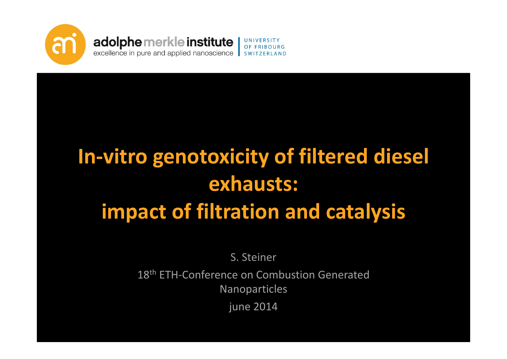

# **In‐vitro genotoxicity of filtered diesel exhausts: impact of filtration and catalysis**

S. Steiner

18<sup>th</sup> ETH-Conference on Combustion Generated Nanoparticles

june 2014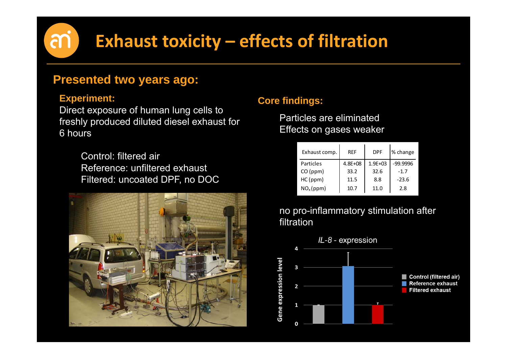# **Exhaust toxicity – effects of filtration**

#### **Presented two years ago:**

#### **Experiment:**

m

Direct exposure of human lung cells to freshly produced diluted diesel exhaust for 6 hours

> Control: filtered airReference: unfiltered exhaust Filtered: uncoated DPF, no DOC



#### **Core findings:**

Particles are eliminatedEffects on gases weaker

| Exhaust comp.         | <b>RFF</b>  | <b>DPF</b>  | % change |
|-----------------------|-------------|-------------|----------|
| Particles             | $4.8E + 08$ | $1.9E + 03$ | -99.9996 |
| CO (ppm)              | 33.2        | 32.6        | $-1.7$   |
| HC (ppm)              | 11.5        | 8.8         | $-23.6$  |
| NO <sub>x</sub> (ppm) | 10.7        | 11.0        | 2.8      |

#### no pro-inflammatory stimulation after filtration

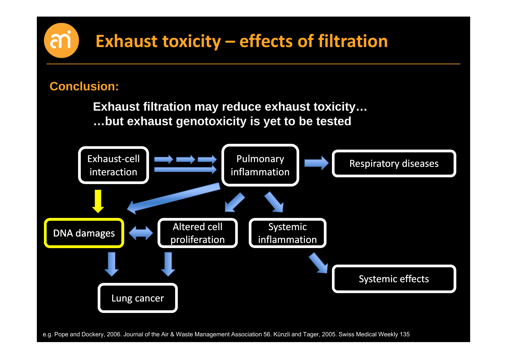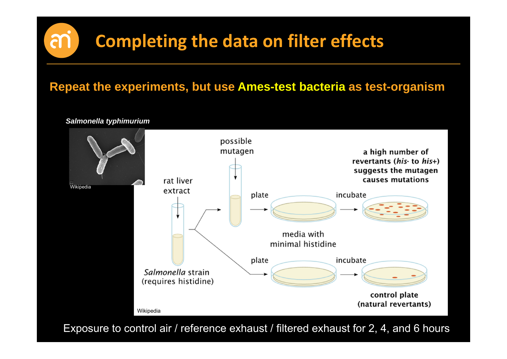### **Repeat the experiments, but use Ames-test bacteria as test-organism**

possible mutagen a high number of revertants (his- to his+) suggests the mutagen rat liver causes mutations **Wikipedia** extract plate incubate media with minimal histidine incubate plate Salmonella strain (requires histidine) control plate (natural revertants) Wikipedia

Exposure to control air / reference exhaust / filtered exhaust for 2, 4, and 6 hours

*Salmonella typhimurium*

M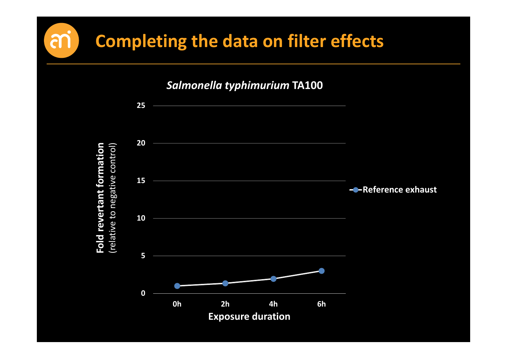m

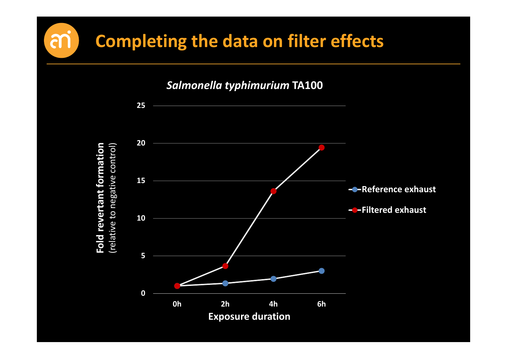m

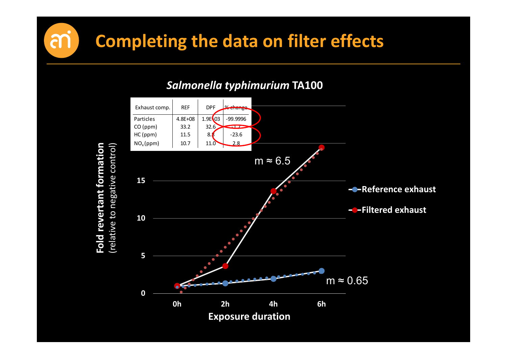

*Salmonella typhimurium* **TA100**

**Fold revertant formation**

m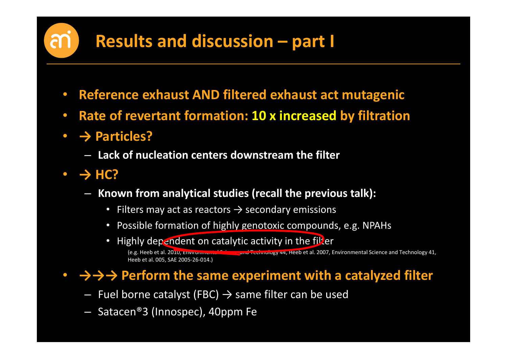### **Results and discussion – part I**

- $\bullet$ **Reference exhaust AND filtered exhaust act mutagenic**
- $\bullet$ **Rate of revertant formation: 10 <sup>x</sup> increased by filtration**
- **→ Particles?**
	- **Lack of nucleation centers downstream the filter**
- **→ HC?**
	- **Known from analytical studies (recall the previous talk):**
		- Filters may act as reactors  $\rightarrow$  secondary emissions
		- Possible formation of highly genotoxic compounds, e.g. NPAHs
		- Highly dependent on catalytic activity in the filter

(e.g. Heeb et al. 2010, Environmental Science and Technology 44, Heeb et al. 2007, Environmental Science and Technology 41, Heeb et al. 005, SAE 2005‐26‐014.)

### • **→→→ Perform the same experiment with <sup>a</sup> catalyzed filter**

- Fuel borne catalyst (FBC)  $\rightarrow$  same filter can be used
- Satacen®3 (Innospec), 40ppm Fe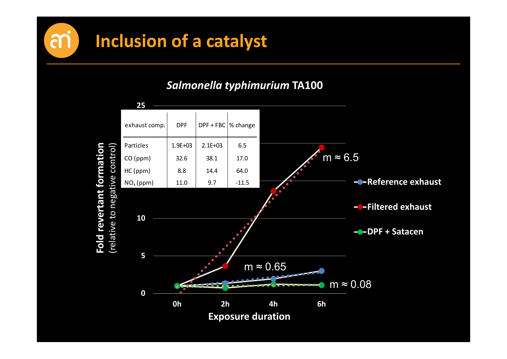



*Salmonella typhimurium* **TA100**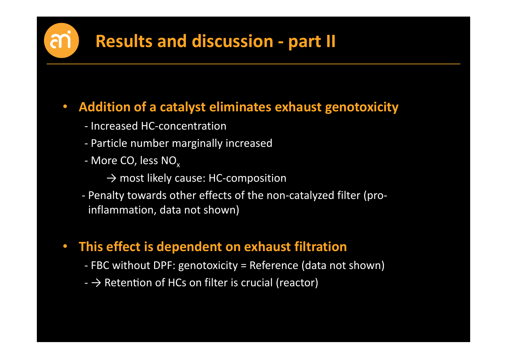### **Results and discussion ‐ part II**

#### $\bullet$ **Addition of <sup>a</sup> catalyst eliminates exhaust genotoxicity**

- ‐ Increased HC‐concentration
- ‐ Particle number marginally increased
- More CO, less NO<sub>x</sub>
	- → most likely cause: HC‐composition
- ‐ Penalty towards other effects of the non‐catalyzed filter (pro‐ inflammation, data not shown)
- **This effect is dependent on exhaust filtration**
	- ‐ FBC without DPF: genotoxicity <sup>=</sup> Reference (data not shown)
	- $\rightarrow$  Retention of HCs on filter is crucial (reactor)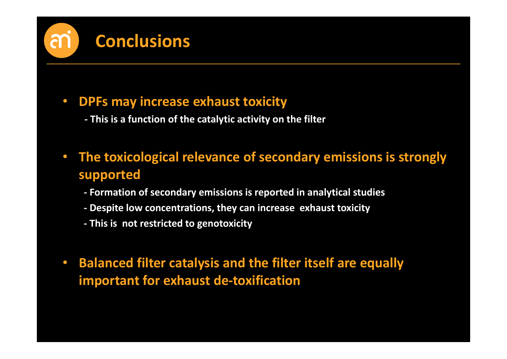# **Conclusions**

#### $\bullet$ **DPFs may increase exhaust toxicity**

- **‐ This is a function of the catalytic activity on the filter**
- $\bullet$  **The toxicological relevance of secondary emissions is strongly supported**
	- **‐ Formation of secondary emissions is reported in analytical studies**
	- **‐ Despite low concentrations, they can increase exhaust toxicity**
	- **‐ This is not restricted to genotoxicity**
- $\bullet$  **Balanced filter catalysis and the filter itself are equally important for exhaust de‐toxification**